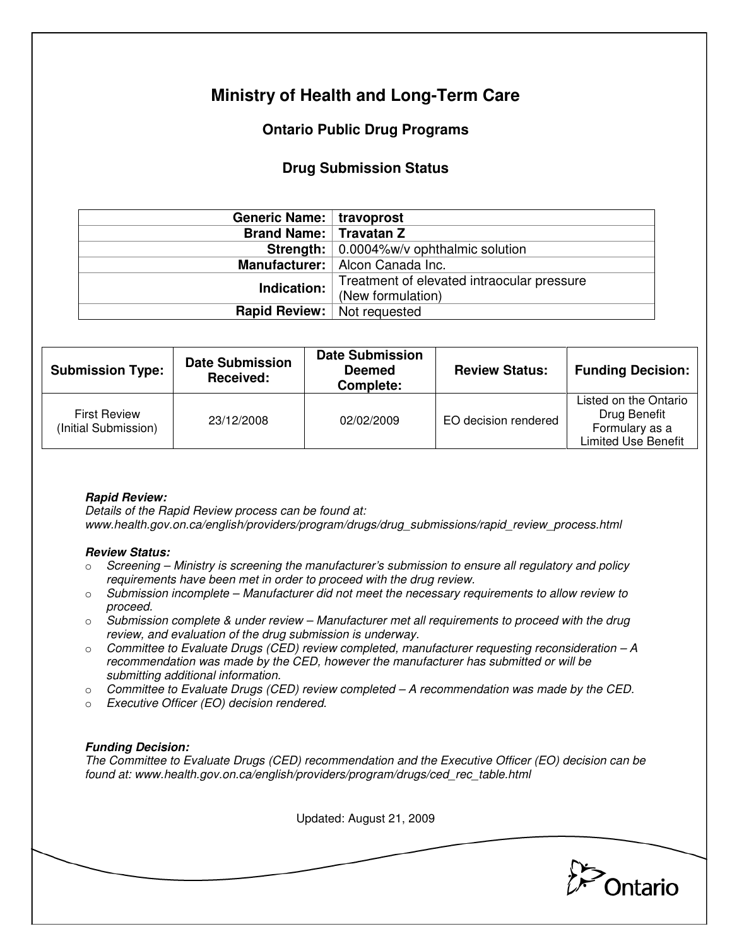# **Ministry of Health and Long-Term Care**

## **Ontario Public Drug Programs**

### **Drug Submission Status**

| Generic Name:   travoprost      |                                                 |  |  |
|---------------------------------|-------------------------------------------------|--|--|
| <b>Brand Name:   Travatan Z</b> |                                                 |  |  |
|                                 | <b>Strength:</b> 0.0004%w/v ophthalmic solution |  |  |
|                                 | Manufacturer:   Alcon Canada Inc.               |  |  |
| Indication:                     | Treatment of elevated intraocular pressure      |  |  |
|                                 | (New formulation)                               |  |  |
| <b>Rapid Review:</b>            | Not requested                                   |  |  |

| <b>Submission Type:</b>                     | <b>Date Submission</b><br>Received: | <b>Date Submission</b><br><b>Deemed</b><br>Complete: | <b>Review Status:</b> | <b>Funding Decision:</b>                                                              |
|---------------------------------------------|-------------------------------------|------------------------------------------------------|-----------------------|---------------------------------------------------------------------------------------|
| <b>First Review</b><br>(Initial Submission) | 23/12/2008                          | 02/02/2009                                           | EO decision rendered  | Listed on the Ontario<br>Drug Benefit<br>Formulary as a<br><b>Limited Use Benefit</b> |

### **Rapid Review:**

Details of the Rapid Review process can be found at: www.health.gov.on.ca/english/providers/program/drugs/drug\_submissions/rapid\_review\_process.html

#### **Review Status:**

- $\circ$  Screening Ministry is screening the manufacturer's submission to ensure all regulatory and policy requirements have been met in order to proceed with the drug review.
- $\circ$  Submission incomplete Manufacturer did not meet the necessary requirements to allow review to proceed.
- $\circ$  Submission complete & under review Manufacturer met all requirements to proceed with the drug review, and evaluation of the drug submission is underway.
- $\circ$  Committee to Evaluate Drugs (CED) review completed, manufacturer requesting reconsideration  $-A$ recommendation was made by the CED, however the manufacturer has submitted or will be submitting additional information.
- $\circ$  Committee to Evaluate Drugs (CED) review completed A recommendation was made by the CED.
- o Executive Officer (EO) decision rendered.

### **Funding Decision:**

The Committee to Evaluate Drugs (CED) recommendation and the Executive Officer (EO) decision can be found at: www.health.gov.on.ca/english/providers/program/drugs/ced\_rec\_table.html

Updated: August 21, 2009

Ontario